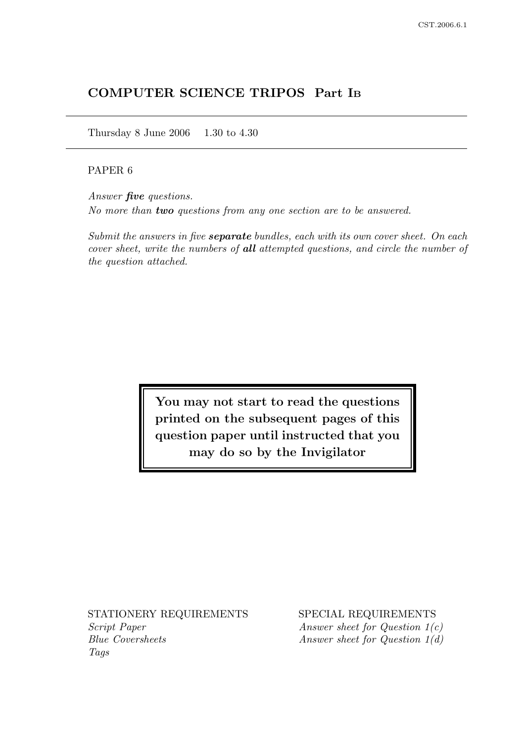# COMPUTER SCIENCE TRIPOS Part I<sup>B</sup>

Thursday 8 June 2006 1.30 to 4.30

## PAPER 6

Answer five questions. No more than two questions from any one section are to be answered.

Submit the answers in five **separate** bundles, each with its own cover sheet. On each cover sheet, write the numbers of all attempted questions, and circle the number of the question attached.

> You may not start to read the questions printed on the subsequent pages of this question paper until instructed that you may do so by the Invigilator

Script Paper Answer sheet for Question 1(c) Blue Coversheets Answer sheet for Question 1(d) Tags

STATIONERY REQUIREMENTS SPECIAL REQUIREMENTS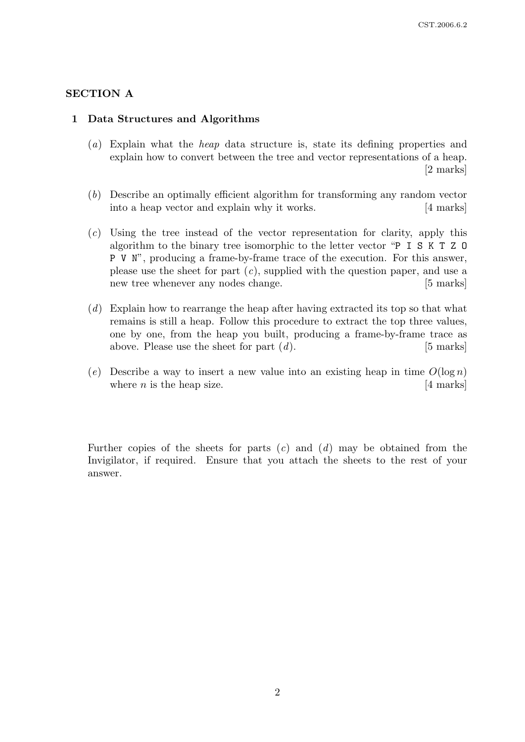### SECTION A

#### 1 Data Structures and Algorithms

- (a) Explain what the heap data structure is, state its defining properties and explain how to convert between the tree and vector representations of a heap. [2 marks]
- (b) Describe an optimally efficient algorithm for transforming any random vector into a heap vector and explain why it works. [4 marks]
- (c) Using the tree instead of the vector representation for clarity, apply this algorithm to the binary tree isomorphic to the letter vector "P I S K T Z O P V N", producing a frame-by-frame trace of the execution. For this answer, please use the sheet for part  $(c)$ , supplied with the question paper, and use a new tree whenever any nodes change. [5 marks]
- (d) Explain how to rearrange the heap after having extracted its top so that what remains is still a heap. Follow this procedure to extract the top three values, one by one, from the heap you built, producing a frame-by-frame trace as above. Please use the sheet for part  $(d)$ . [5 marks]
- (e) Describe a way to insert a new value into an existing heap in time  $O(\log n)$ where *n* is the heap size.  $[4 \text{ marks}]$

Further copies of the sheets for parts  $(c)$  and  $(d)$  may be obtained from the Invigilator, if required. Ensure that you attach the sheets to the rest of your answer.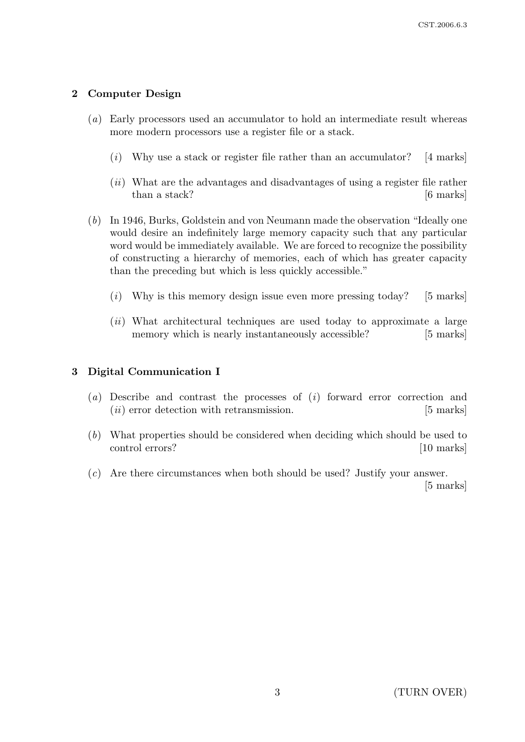## 2 Computer Design

- (a) Early processors used an accumulator to hold an intermediate result whereas more modern processors use a register file or a stack.
	- $(i)$  Why use a stack or register file rather than an accumulator? [4 marks]
	- $(ii)$  What are the advantages and disadvantages of using a register file rather than a stack? [6 marks]
- (b) In 1946, Burks, Goldstein and von Neumann made the observation "Ideally one would desire an indefinitely large memory capacity such that any particular word would be immediately available. We are forced to recognize the possibility of constructing a hierarchy of memories, each of which has greater capacity than the preceding but which is less quickly accessible."
	- $(i)$  Why is this memory design issue even more pressing today? [5 marks]
	- (ii) What architectural techniques are used today to approximate a large memory which is nearly instantaneously accessible? [5 marks]

## 3 Digital Communication I

- (a) Describe and contrast the processes of  $(i)$  forward error correction and (*ii*) error detection with retransmission. [5 marks]
- (b) What properties should be considered when deciding which should be used to control errors? [10 marks]
- (c) Are there circumstances when both should be used? Justify your answer.

[5 marks]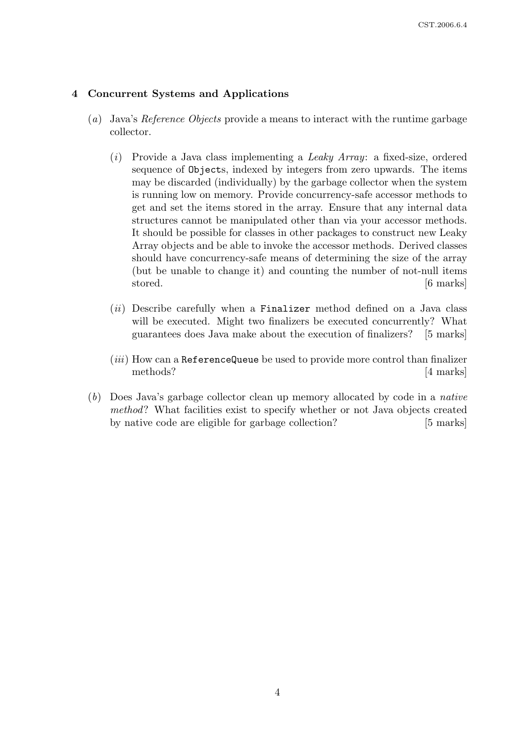#### 4 Concurrent Systems and Applications

- (a) Java's Reference Objects provide a means to interact with the runtime garbage collector.
	- (i) Provide a Java class implementing a Leaky Array: a fixed-size, ordered sequence of Objects, indexed by integers from zero upwards. The items may be discarded (individually) by the garbage collector when the system is running low on memory. Provide concurrency-safe accessor methods to get and set the items stored in the array. Ensure that any internal data structures cannot be manipulated other than via your accessor methods. It should be possible for classes in other packages to construct new Leaky Array objects and be able to invoke the accessor methods. Derived classes should have concurrency-safe means of determining the size of the array (but be unable to change it) and counting the number of not-null items stored. [6 marks]
	- $(ii)$  Describe carefully when a Finalizer method defined on a Java class will be executed. Might two finalizers be executed concurrently? What guarantees does Java make about the execution of finalizers? [5 marks]
	- $(iii)$  How can a ReferenceQueue be used to provide more control than finalizer methods? [4 marks]
- (b) Does Java's garbage collector clean up memory allocated by code in a native method? What facilities exist to specify whether or not Java objects created by native code are eligible for garbage collection? [5 marks]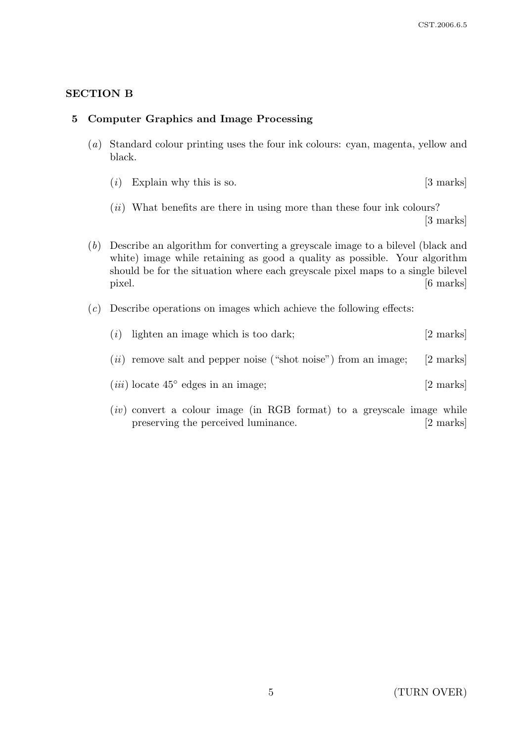## SECTION B

#### 5 Computer Graphics and Image Processing

- (a) Standard colour printing uses the four ink colours: cyan, magenta, yellow and black.
	- (*i*) Explain why this is so.  $[3 \text{ marks}]$
	- $(ii)$  What benefits are there in using more than these four ink colours? [3 marks]
- (b) Describe an algorithm for converting a greyscale image to a bilevel (black and white) image while retaining as good a quality as possible. Your algorithm should be for the situation where each greyscale pixel maps to a single bilevel pixel. [6 marks]
- $(c)$  Describe operations on images which achieve the following effects:
	- (i) lighten an image which is too dark;  $[2 \text{ marks}]$
	- $(ii)$  remove salt and pepper noise ("shot noise") from an image; [2 marks]
	- $(iii)$  locate  $45°$  edges in an image; [2 marks]
	- $(iv)$  convert a colour image (in RGB format) to a greyscale image while preserving the perceived luminance. [2 marks]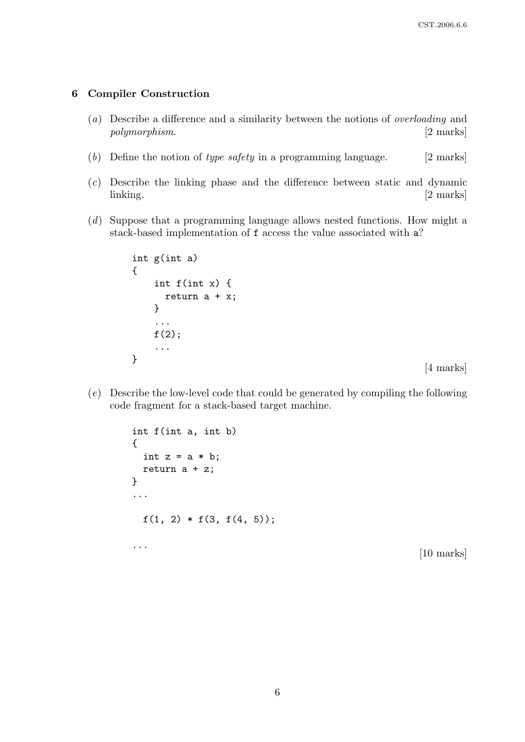#### 6 Compiler Construction

- (a) Describe a difference and a similarity between the notions of overloading and polymorphism. [2 marks]
- (b) Define the notion of type safety in a programming language.  $[2 \text{ marks}]$
- (c) Describe the linking phase and the difference between static and dynamic linking. [2 marks]
- (d) Suppose that a programming language allows nested functions. How might a stack-based implementation of f access the value associated with a?

```
int g(int a)
{
    int f(int x) {
      return a + x;
    }
    ...
    f(2);...
}
```
[4 marks]

(e) Describe the low-level code that could be generated by compiling the following code fragment for a stack-based target machine.

```
int f(int a, int b)
{
  int z = a * b;
  return a + z;
}
...
  f(1, 2) * f(3, f(4, 5));...
                                                         [10 marks]
```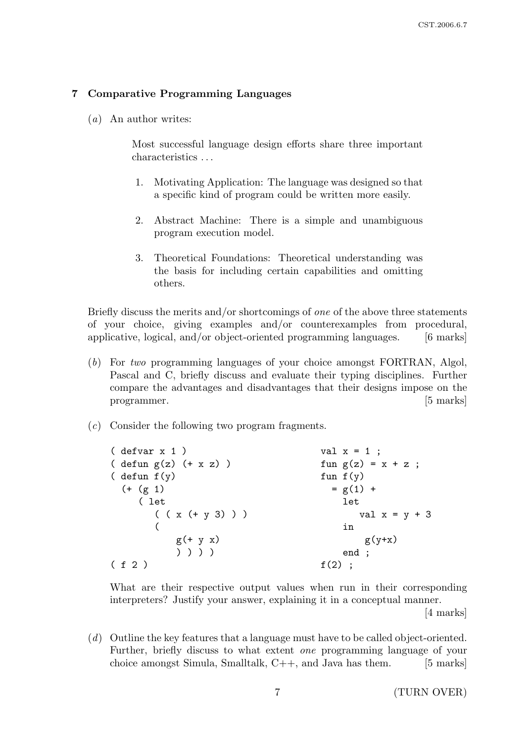### 7 Comparative Programming Languages

(a) An author writes:

Most successful language design efforts share three important characteristics . . .

- 1. Motivating Application: The language was designed so that a specific kind of program could be written more easily.
- 2. Abstract Machine: There is a simple and unambiguous program execution model.
- 3. Theoretical Foundations: Theoretical understanding was the basis for including certain capabilities and omitting others.

Briefly discuss the merits and/or shortcomings of one of the above three statements of your choice, giving examples and/or counterexamples from procedural, applicative, logical, and/or object-oriented programming languages. [6 marks]

- (b) For two programming languages of your choice amongst FORTRAN, Algol, Pascal and C, briefly discuss and evaluate their typing disciplines. Further compare the advantages and disadvantages that their designs impose on the programmer. [5] marks]
- (c) Consider the following two program fragments.

| $(\text{defvar } x 1)$         | val $x = 1$ ;        |
|--------------------------------|----------------------|
| $(\text{defun } g(z) (+ x z))$ | fun $g(z) = x + z$ ; |
| ( defun $f(y)$                 | fun $f(y)$           |
| $(+ (g 1)$                     | $= g(1) +$           |
| ( let                          | let                  |
| $((x (+ y 3)) )$               | val $x = y + 3$      |
|                                | in                   |
| $g(+ y x)$                     | $g(y+x)$             |
| ) ) ) )                        | end ;                |
| (f 2)                          | $f(2)$ ;             |

What are their respective output values when run in their corresponding interpreters? Justify your answer, explaining it in a conceptual manner.

[4 marks]

(d) Outline the key features that a language must have to be called object-oriented. Further, briefly discuss to what extent one programming language of your choice amongst Simula, Smalltalk,  $C++$ , and Java has them. [5 marks]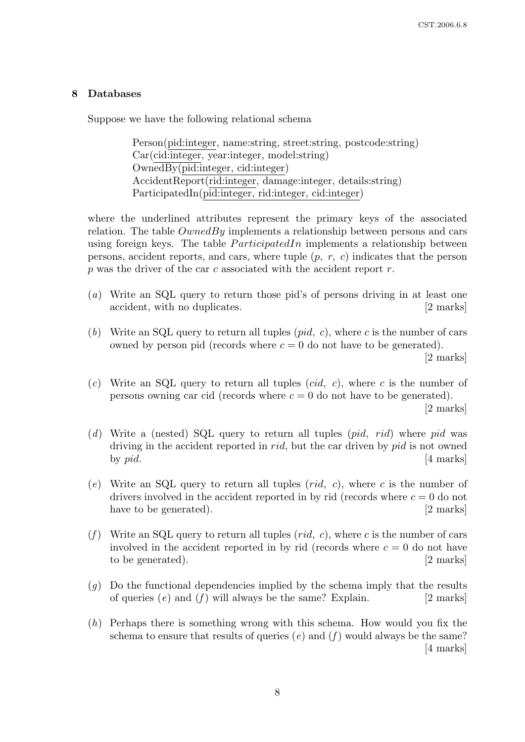#### 8 Databases

Suppose we have the following relational schema

Person(pid:integer, name:string, street:string, postcode:string) Car(cid:integer, year:integer, model:string) OwnedBy(pid:integer, cid:integer) AccidentReport(rid:integer, damage:integer, details:string) ParticipatedIn(pid:integer, rid:integer, cid:integer)

where the underlined attributes represent the primary keys of the associated relation. The table  $OwnedBy$  implements a relationship between persons and cars using foreign keys. The table  $ParticipatedIn$  implements a relationship between persons, accident reports, and cars, where tuple  $(p, r, c)$  indicates that the person p was the driver of the car c associated with the accident report  $r$ .

- (a) Write an SQL query to return those pid's of persons driving in at least one accident, with no duplicates. [2 marks]
- (b) Write an SQL query to return all tuples  $(pid, c)$ , where c is the number of cars owned by person pid (records where  $c = 0$  do not have to be generated). [2 marks]
- (c) Write an SQL query to return all tuples (cid, c), where c is the number of persons owning car cid (records where  $c = 0$  do not have to be generated).

[2 marks]

- (d) Write a (nested) SQL query to return all tuples  $(pid, rid)$  where pid was driving in the accident reported in *rid*, but the car driven by *pid* is not owned by  $pid.$  [4 marks]
- (e) Write an SQL query to return all tuples  $(\text{rid}, c)$ , where c is the number of drivers involved in the accident reported in by rid (records where  $c = 0$  do not have to be generated). [2 marks]
- (f) Write an SQL query to return all tuples  $(\text{rid}, c)$ , where c is the number of cars involved in the accident reported in by rid (records where  $c = 0$  do not have to be generated). [2 marks]
- $(g)$  Do the functional dependencies implied by the schema imply that the results of queries  $(e)$  and  $(f)$  will always be the same? Explain. [2 marks]
- $(h)$  Perhaps there is something wrong with this schema. How would you fix the schema to ensure that results of queries (e) and (f) would always be the same? [4 marks]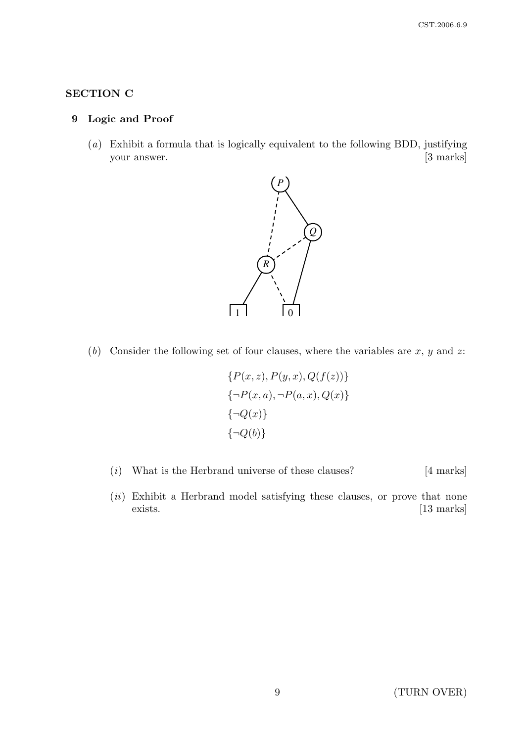# SECTION C

## 9 Logic and Proof

(a) Exhibit a formula that is logically equivalent to the following BDD, justifying your answer. [3 marks]



(b) Consider the following set of four clauses, where the variables are  $x, y$  and  $z$ :

$$
\{P(x, z), P(y, x), Q(f(z))\}
$$
  

$$
\{\neg P(x, a), \neg P(a, x), Q(x)\}
$$
  

$$
\{\neg Q(x)\}
$$
  

$$
\{\neg Q(b)\}
$$

- ( $i)$  What is the Herbrand universe of these clauses? [4 marks]
- $(ii)$  Exhibit a Herbrand model satisfying these clauses, or prove that none exists. [13 marks]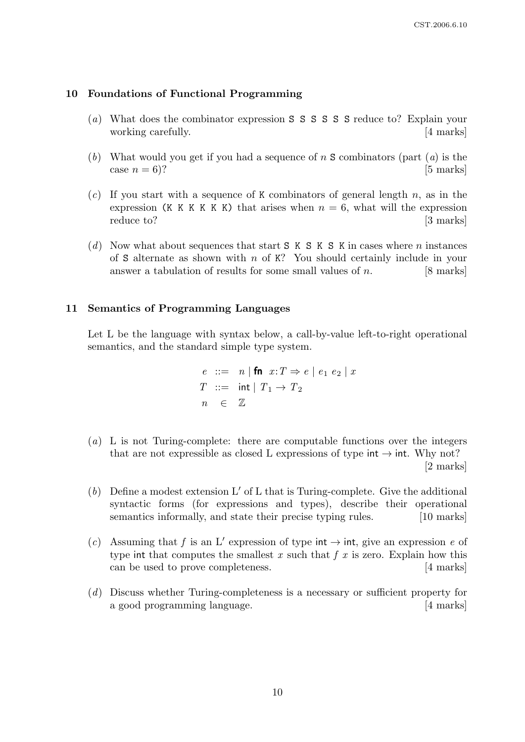#### 10 Foundations of Functional Programming

- (a) What does the combinator expression S S S S S S reduce to? Explain your working carefully. [4 marks]
- (b) What would you get if you had a sequence of n S combinators (part  $(a)$ ) is the case  $n = 6$ ? [5 marks]
- $(c)$  If you start with a sequence of K combinators of general length n, as in the expression (K K K K K) that arises when  $n = 6$ , what will the expression reduce to? [3 marks]
- (d) Now what about sequences that start  $S$  K  $S$  K  $S$  K in cases where n instances of S alternate as shown with  $n$  of K? You should certainly include in your answer a tabulation of results for some small values of  $n$ . [8 marks]

#### 11 Semantics of Programming Languages

Let L be the language with syntax below, a call-by-value left-to-right operational semantics, and the standard simple type system.

$$
e ::= n | \text{fn } x: T \Rightarrow e | e_1 e_2 | x
$$
  
\n
$$
T ::= \text{int} | T_1 \rightarrow T_2
$$
  
\n
$$
n \in \mathbb{Z}
$$

- (a) L is not Turing-complete: there are computable functions over the integers that are not expressible as closed L expressions of type  $int \rightarrow int$ . Why not? [2 marks]
- (b) Define a modest extension  $L'$  of L that is Turing-complete. Give the additional syntactic forms (for expressions and types), describe their operational semantics informally, and state their precise typing rules. [10 marks]
- (c) Assuming that f is an L' expression of type int  $\rightarrow$  int, give an expression e of type int that computes the smallest x such that  $f(x)$  is zero. Explain how this can be used to prove completeness. [4 marks]
- (d) Discuss whether Turing-completeness is a necessary or sufficient property for a good programming language. [4 marks]